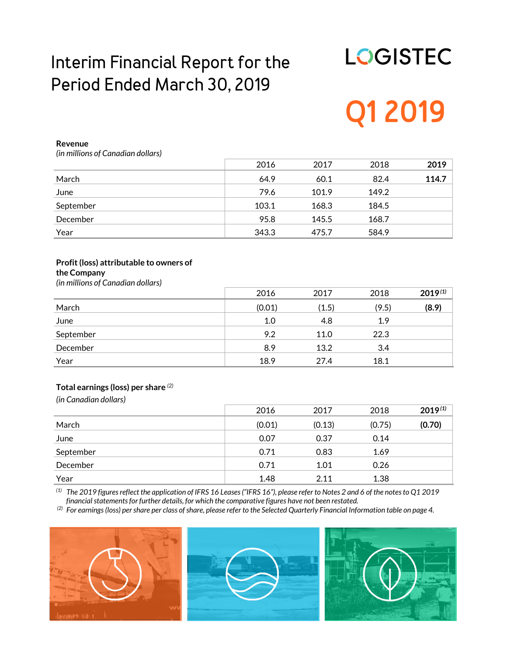# **Interim Financial Report for the Period Ended March 30, 2019**

# **LOGISTEC Q1 2019**

#### **Revenue**

*(in millions of Canadian dollars)*

|           | 2016  | 2017  | 2018  | 2019  |
|-----------|-------|-------|-------|-------|
| March     | 64.9  | 60.1  | 82.4  | 114.7 |
| June      | 79.6  | 101.9 | 149.2 |       |
| September | 103.1 | 168.3 | 184.5 |       |
| December  | 95.8  | 145.5 | 168.7 |       |
| Year      | 343.3 | 475.7 | 584.9 |       |

#### **Profit (loss) attributable to owners of the Company**

*(in millions of Canadian dollars)*

|           | 2016   | 2017  | 2018  | $2019^{(1)}$ |
|-----------|--------|-------|-------|--------------|
| March     | (0.01) | (1.5) | (9.5) | (8.9)        |
| June      | 1.0    | 4.8   | 1.9   |              |
| September | 9.2    | 11.0  | 22.3  |              |
| December  | 8.9    | 13.2  | 3.4   |              |
| Year      | 18.9   | 27.4  | 18.1  |              |

#### **Total earnings (loss) per share** *(2)*

*(in Canadian dollars)*

|           | 2016   | 2017   | 2018   | $2019^{(1)}$ |
|-----------|--------|--------|--------|--------------|
| March     | (0.01) | (0.13) | (0.75) | (0.70)       |
| June      | 0.07   | 0.37   | 0.14   |              |
| September | 0.71   | 0.83   | 1.69   |              |
| December  | 0.71   | 1.01   | 0.26   |              |
| Year      | 1.48   | 2.11   | 1.38   |              |

*(1) The 2019 figures reflect the application of IFRS 16 Leases ("IFRS 16"), please refer to Notes 2 and 6 of the notes to Q1 2019 financial statementsfor further details, for which the comparative figures have not been restated.*

*(2) For earnings (loss) per share per class of share, please refer to the Selected Quarterly Financial Information table on page 4.*





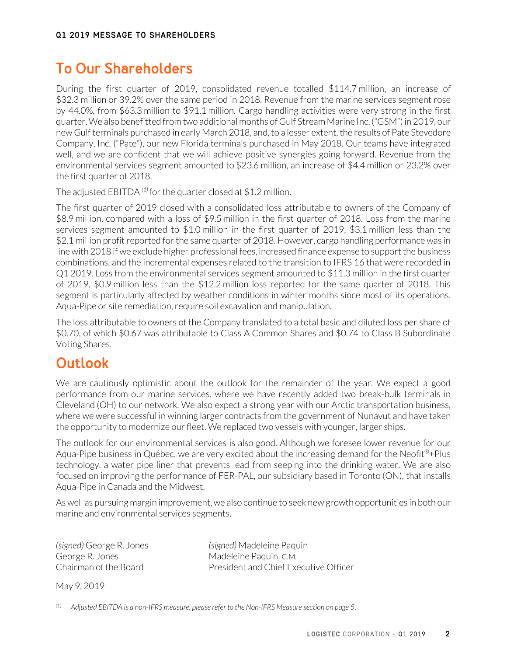# **To Our Shareholders**

During the first quarter of 2019, consolidated revenue totalled \$114.7 million, an increase of \$32.3 million or 39.2% over the same period in 2018. Revenue from the marine services segment rose by 44.0%, from \$63.3 million to \$91.1 million. Cargo handling activities were very strong in the first quarter. We also benefitted from two additional months of Gulf Stream Marine Inc. ("GSM") in 2019, our new Gulf terminals purchased in early March 2018, and, to a lesser extent, the results of Pate Stevedore Company, Inc. ("Pate"), our new Florida terminals purchased in May 2018. Our teams have integrated well, and we are confident that we will achieve positive synergies going forward. Revenue from the environmental services segment amounted to \$23.6 million, an increase of \$4.4 million or 23.2% over the first quarter of 2018.

The adjusted EBITDA *(1)* for the quarter closed at \$1.2 million.

The first quarter of 2019 closed with a consolidated loss attributable to owners of the Company of \$8.9 million, compared with a loss of \$9.5 million in the first quarter of 2018. Loss from the marine services segment amounted to \$1.0 million in the first quarter of 2019, \$3.1 million less than the \$2.1 million profit reported for the same quarter of 2018. However, cargo handling performance was in line with 2018 if we exclude higher professional fees, increased finance expense to support the business combinations, and the incremental expenses related to the transition to IFRS 16 that were recorded in Q1 2019. Loss from the environmental services segment amounted to \$11.3 million in the first quarter of 2019, \$0.9 million less than the \$12.2 million loss reported for the same quarter of 2018. This segment is particularly affected by weather conditions in winter months since most of its operations, Aqua-Pipe or site remediation, require soil excavation and manipulation.

The loss attributable to owners of the Company translated to a total basic and diluted loss per share of \$0.70, of which \$0.67 was attributable to Class A Common Shares and \$0.74 to Class B Subordinate Voting Shares.

# **Outlook**

We are cautiously optimistic about the outlook for the remainder of the year. We expect a good performance from our marine services, where we have recently added two break-bulk terminals in Cleveland (OH) to our network. We also expect a strong year with our Arctic transportation business, where we were successful in winning larger contracts from the government of Nunavut and have taken the opportunity to modernize our fleet. We replaced two vessels with younger, larger ships.

The outlook for our environmental services is also good. Although we foresee lower revenue for our Aqua-Pipe business in Québec, we are very excited about the increasing demand for the Neofit<sup>®+Plus</sup> technology, a water pipe liner that prevents lead from seeping into the drinking water. We are also focused on improving the performance of FER-PAL, our subsidiary based in Toronto (ON), that installs Aqua-Pipe in Canada and the Midwest.

As well as pursuing margin improvement, we also continue to seek new growth opportunities in both our marine and environmental services segments.

George R. Jones Madeleine Paquin, C.M.

*(signed)* George R. Jones *(signed)* Madeleine Paquin Chairman of the Board President and Chief Executive Officer

May 9, 2019

*(1) Adjusted EBITDA is a non-IFRS measure, please refer to the Non-IFRS Measure section on page 5.*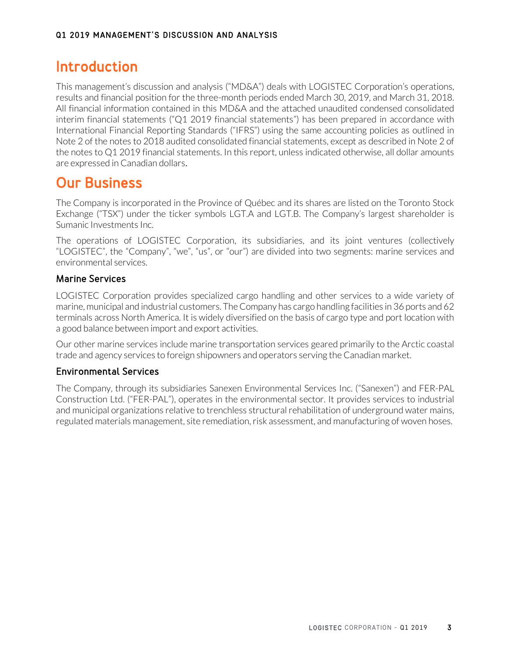# **Introduction**

This management's discussion and analysis ("MD&A") deals with LOGISTEC Corporation's operations, results and financial position for the three-month periods ended March 30, 2019, and March 31, 2018. All financial information contained in this MD&A and the attached unaudited condensed consolidated interim financial statements ("Q1 2019 financial statements") has been prepared in accordance with International Financial Reporting Standards ("IFRS") using the same accounting policies as outlined in Note 2 of the notes to 2018 audited consolidated financial statements, except as described in Note 2 of the notes to Q1 2019 financial statements. In this report, unless indicated otherwise, all dollar amounts are expressed in Canadian dollars.

# **Our Business**

The Company is incorporated in the Province of Québec and its shares are listed on the Toronto Stock Exchange ("TSX") under the ticker symbols LGT.A and LGT.B. The Company's largest shareholder is Sumanic Investments Inc.

The operations of LOGISTEC Corporation, its subsidiaries, and its joint ventures (collectively "LOGISTEC", the "Company", "we", "us", or "our") are divided into two segments: marine services and environmental services.

# Marine Services

LOGISTEC Corporation provides specialized cargo handling and other services to a wide variety of marine, municipal and industrial customers. The Company has cargo handling facilities in 36 ports and 62 terminals across North America. It is widely diversified on the basis of cargo type and port location with a good balance between import and export activities.

Our other marine services include marine transportation services geared primarily to the Arctic coastal trade and agency services to foreign shipowners and operators serving the Canadian market.

## Environmental Services

The Company, through its subsidiaries Sanexen Environmental Services Inc. ("Sanexen") and FER-PAL Construction Ltd. ("FER-PAL"), operates in the environmental sector. It provides services to industrial and municipal organizations relative to trenchless structural rehabilitation of underground water mains, regulated materials management, site remediation, risk assessment, and manufacturing of woven hoses.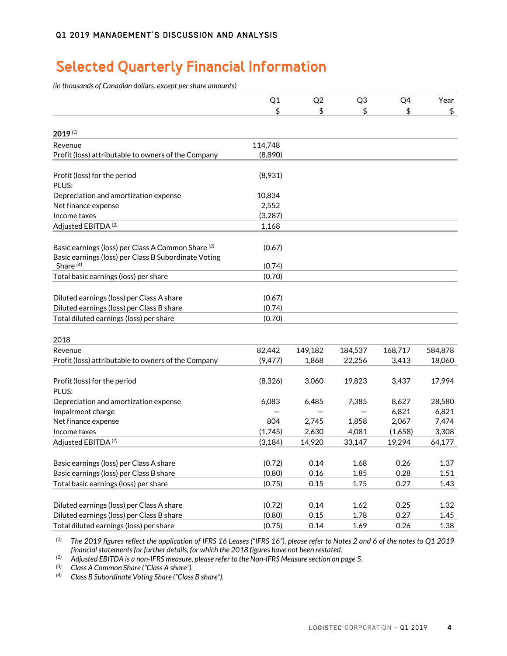# **Selected Quarterly Financial Information**

*(in thousands of Canadian dollars, except per share amounts)*

|                                                      | Q1       | Q <sub>2</sub> | Q <sub>3</sub> | Q4      | Year    |
|------------------------------------------------------|----------|----------------|----------------|---------|---------|
|                                                      | \$       | \$             | \$             | \$      | \$      |
| $2019^{(1)}$                                         |          |                |                |         |         |
| Revenue                                              | 114,748  |                |                |         |         |
| Profit (loss) attributable to owners of the Company  | (8,890)  |                |                |         |         |
|                                                      |          |                |                |         |         |
| Profit (loss) for the period                         | (8,931)  |                |                |         |         |
| PLUS:                                                |          |                |                |         |         |
| Depreciation and amortization expense                | 10,834   |                |                |         |         |
| Net finance expense                                  | 2,552    |                |                |         |         |
| Income taxes                                         | (3,287)  |                |                |         |         |
| Adjusted EBITDA <sup>(2)</sup>                       | 1,168    |                |                |         |         |
|                                                      |          |                |                |         |         |
| Basic earnings (loss) per Class A Common Share (3)   | (0.67)   |                |                |         |         |
| Basic earnings (loss) per Class B Subordinate Voting |          |                |                |         |         |
| Share $(4)$                                          | (0.74)   |                |                |         |         |
| Total basic earnings (loss) per share                | (0.70)   |                |                |         |         |
|                                                      |          |                |                |         |         |
| Diluted earnings (loss) per Class A share            | (0.67)   |                |                |         |         |
| Diluted earnings (loss) per Class B share            | (0.74)   |                |                |         |         |
| Total diluted earnings (loss) per share              | (0.70)   |                |                |         |         |
|                                                      |          |                |                |         |         |
| 2018                                                 |          |                |                |         |         |
| Revenue                                              | 82,442   | 149,182        | 184,537        | 168,717 | 584,878 |
| Profit (loss) attributable to owners of the Company  | (9, 477) | 1,868          | 22,256         | 3,413   | 18,060  |
| Profit (loss) for the period                         | (8,326)  | 3,060          | 19,823         | 3,437   | 17,994  |
| PLUS:                                                |          |                |                |         |         |
| Depreciation and amortization expense                | 6,083    | 6,485          | 7,385          | 8,627   | 28,580  |
| Impairment charge                                    |          |                |                | 6,821   | 6,821   |
| Net finance expense                                  | 804      | 2,745          | 1,858          | 2,067   | 7,474   |
| Income taxes                                         | (1,745)  | 2,630          | 4,081          | (1,658) | 3,308   |
| Adjusted EBITDA <sup>(2)</sup>                       | (3, 184) | 14,920         | 33,147         | 19,294  | 64,177  |
|                                                      |          |                |                |         |         |
| Basic earnings (loss) per Class A share              | (0.72)   | 0.14           | 1.68           | 0.26    | 1.37    |
| Basic earnings (loss) per Class B share              | (0.80)   | 0.16           | 1.85           | 0.28    | 1.51    |
| Total basic earnings (loss) per share                | (0.75)   | 0.15           | 1.75           | 0.27    | 1.43    |
|                                                      |          |                |                |         |         |
| Diluted earnings (loss) per Class A share            | (0.72)   | 0.14           | 1.62           | 0.25    | 1.32    |
| Diluted earnings (loss) per Class B share            | (0.80)   | 0.15           | 1.78           | 0.27    | 1.45    |
| Total diluted earnings (loss) per share              | (0.75)   | 0.14           | 1.69           | 0.26    | 1.38    |

*(1) The 2019 figures reflect the application of IFRS 16 Leases ("IFRS 16"), please refer to Notes 2 and 6 of the notes to Q1 2019 financial statements for further details, for which the 2018 figures have not been restated.*

*(2) Adjusted EBITDA is a non-IFRS measure, please refer to the Non-IFRS Measure section on page 5.*

*(3) Class A Common Share ("Class A share").*

*(4) Class B Subordinate Voting Share ("Class B share").*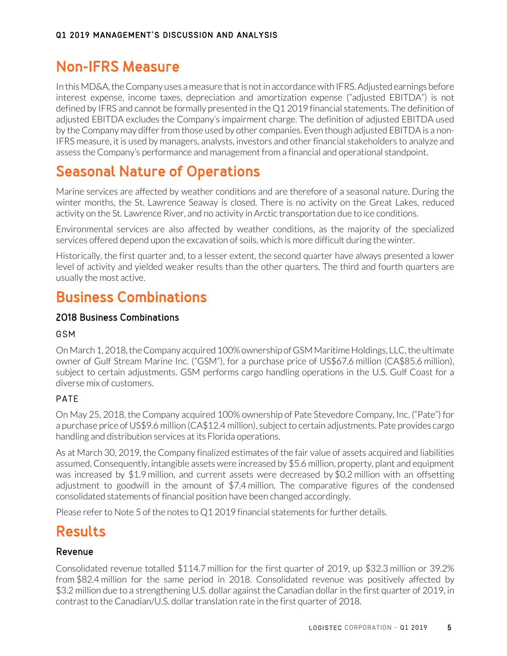# **Non-IFRS Measure**

In this MD&A, the Company uses a measure that is not in accordance with IFRS. Adjusted earnings before interest expense, income taxes, depreciation and amortization expense ("adjusted EBITDA") is not defined by IFRS and cannot be formally presented in the Q1 2019 financial statements. The definition of adjusted EBITDA excludes the Company's impairment charge. The definition of adjusted EBITDA used by the Company may differ from those used by other companies. Even though adjusted EBITDA is a non-IFRS measure, it is used by managers, analysts, investors and other financial stakeholders to analyze and assess the Company's performance and management from a financial and operational standpoint.

# **Seasonal Nature of Operations**

Marine services are affected by weather conditions and are therefore of a seasonal nature. During the winter months, the St. Lawrence Seaway is closed. There is no activity on the Great Lakes, reduced activity on the St. Lawrence River, and no activity in Arctic transportation due to ice conditions.

Environmental services are also affected by weather conditions, as the majority of the specialized services offered depend upon the excavation of soils, which is more difficult during the winter.

Historically, the first quarter and, to a lesser extent, the second quarter have always presented a lower level of activity and yielded weaker results than the other quarters. The third and fourth quarters are usually the most active.

# **Business Combinations**

## 2018 Business Combinations

### GSM

On March 1, 2018, the Company acquired 100% ownership of GSM Maritime Holdings, LLC, the ultimate owner of Gulf Stream Marine Inc. ("GSM"), for a purchase price of US\$67.6 million (CA\$85.6 million), subject to certain adjustments. GSM performs cargo handling operations in the U.S. Gulf Coast for a diverse mix of customers.

# PATE

On May 25, 2018, the Company acquired 100% ownership of Pate Stevedore Company, Inc. ("Pate") for a purchase price of US\$9.6 million (CA\$12.4 million), subject to certain adjustments. Pate provides cargo handling and distribution services at its Florida operations.

As at March 30, 2019, the Company finalized estimates of the fair value of assets acquired and liabilities assumed. Consequently, intangible assets were increased by \$5.6 million, property, plant and equipment was increased by \$1.9 million, and current assets were decreased by \$0.2 million with an offsetting adjustment to goodwill in the amount of \$7.4 million. The comparative figures of the condensed consolidated statements of financial position have been changed accordingly.

Please refer to Note 5 of the notes to Q1 2019 financial statements for further details.

# **Results**

## Revenue

Consolidated revenue totalled \$114.7 million for the first quarter of 2019, up \$32.3 million or 39.2% from \$82.4 million for the same period in 2018. Consolidated revenue was positively affected by \$3.2 million due to a strengthening U.S. dollar against the Canadian dollar in the first quarter of 2019, in contrast to the Canadian/U.S. dollar translation rate in the first quarter of 2018.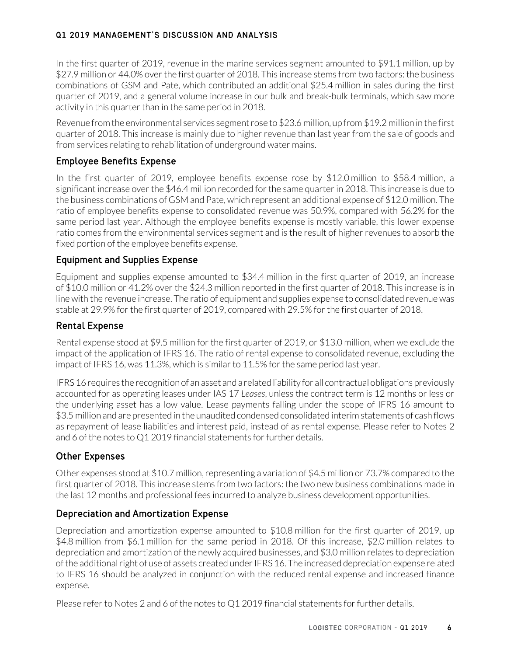### Q1 2019 MANAGEMENT'S DISCUSSION AND ANALYSIS

In the first quarter of 2019, revenue in the marine services segment amounted to \$91.1 million, up by \$27.9 million or 44.0% over the first quarter of 2018. This increase stems from two factors: the business combinations of GSM and Pate, which contributed an additional \$25.4 million in sales during the first quarter of 2019, and a general volume increase in our bulk and break-bulk terminals, which saw more activity in this quarter than in the same period in 2018.

Revenue from the environmental services segment rose to \$23.6 million, up from \$19.2 million in the first quarter of 2018. This increase is mainly due to higher revenue than last year from the sale of goods and from services relating to rehabilitation of underground water mains.

### Employee Benefits Expense

In the first quarter of 2019, employee benefits expense rose by \$12.0 million to \$58.4 million, a significant increase over the \$46.4 million recorded for the same quarter in 2018. This increase is due to the business combinations of GSM and Pate, which represent an additional expense of \$12.0 million. The ratio of employee benefits expense to consolidated revenue was 50.9%, compared with 56.2% for the same period last year. Although the employee benefits expense is mostly variable, this lower expense ratio comes from the environmental services segment and is the result of higher revenues to absorb the fixed portion of the employee benefits expense.

## Equipment and Supplies Expense

Equipment and supplies expense amounted to \$34.4 million in the first quarter of 2019, an increase of \$10.0 million or 41.2% over the \$24.3 million reported in the first quarter of 2018. This increase is in line with the revenue increase. The ratio of equipment and supplies expense to consolidated revenue was stable at 29.9% for the first quarter of 2019, compared with 29.5% for the first quarter of 2018.

### Rental Expense

Rental expense stood at \$9.5 million for the first quarter of 2019, or \$13.0 million, when we exclude the impact of the application of IFRS 16. The ratio of rental expense to consolidated revenue, excluding the impact of IFRS 16, was 11.3%, which is similar to 11.5% for the same period last year.

IFRS 16 requires the recognition of an asset and a related liability for all contractual obligations previously accounted for as operating leases under IAS 17 *Leases*, unless the contract term is 12 months or less or the underlying asset has a low value. Lease payments falling under the scope of IFRS 16 amount to \$3.5 million and are presented in the unaudited condensed consolidated interim statements of cash flows as repayment of lease liabilities and interest paid, instead of as rental expense. Please refer to Notes 2 and 6 of the notes to Q1 2019 financial statements for further details.

### Other Expenses

Other expenses stood at \$10.7 million, representing a variation of \$4.5 million or 73.7% compared to the first quarter of 2018. This increase stems from two factors: the two new business combinations made in the last 12 months and professional fees incurred to analyze business development opportunities.

### Depreciation and Amortization Expense

Depreciation and amortization expense amounted to \$10.8 million for the first quarter of 2019, up \$4.8 million from \$6.1 million for the same period in 2018. Of this increase, \$2.0 million relates to depreciation and amortization of the newly acquired businesses, and \$3.0 million relates to depreciation of the additional right of use of assets created under IFRS 16. The increased depreciation expense related to IFRS 16 should be analyzed in conjunction with the reduced rental expense and increased finance expense.

Please refer to Notes 2 and 6 of the notes to Q1 2019 financial statements for further details.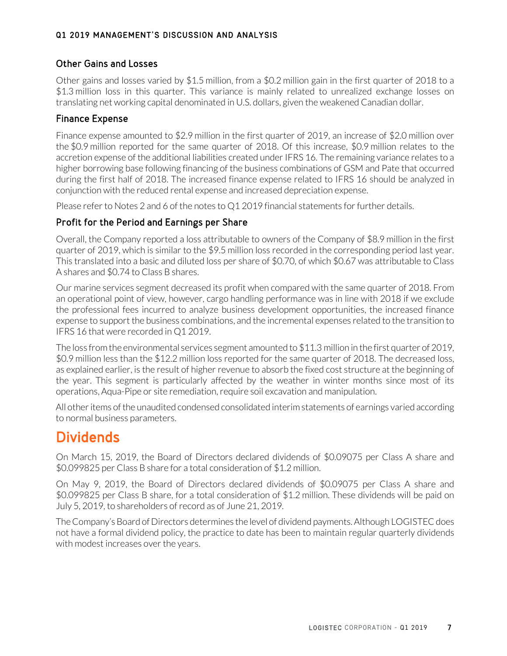### Q1 2019 MANAGEMENT'S DISCUSSION AND ANALYSIS

### Other Gains and Losses

Other gains and losses varied by \$1.5 million, from a \$0.2 million gain in the first quarter of 2018 to a \$1.3 million loss in this quarter. This variance is mainly related to unrealized exchange losses on translating net working capital denominated in U.S. dollars, given the weakened Canadian dollar.

#### Finance Expense

Finance expense amounted to \$2.9 million in the first quarter of 2019, an increase of \$2.0 million over the \$0.9 million reported for the same quarter of 2018. Of this increase, \$0.9 million relates to the accretion expense of the additional liabilities created under IFRS 16. The remaining variance relates to a higher borrowing base following financing of the business combinations of GSM and Pate that occurred during the first half of 2018. The increased finance expense related to IFRS 16 should be analyzed in conjunction with the reduced rental expense and increased depreciation expense.

Please refer to Notes 2 and 6 of the notes to Q1 2019 financial statements for further details.

### Profit for the Period and Earnings per Share

Overall, the Company reported a loss attributable to owners of the Company of \$8.9 million in the first quarter of 2019, which is similar to the \$9.5 million loss recorded in the corresponding period last year. This translated into a basic and diluted loss per share of \$0.70, of which \$0.67 was attributable to Class A shares and \$0.74 to Class B shares.

Our marine services segment decreased its profit when compared with the same quarter of 2018. From an operational point of view, however, cargo handling performance was in line with 2018 if we exclude the professional fees incurred to analyze business development opportunities, the increased finance expense to support the business combinations, and the incremental expenses related to the transition to IFRS 16 that were recorded in Q1 2019.

The loss from the environmental services segment amounted to \$11.3 million in the first quarter of 2019, \$0.9 million less than the \$12.2 million loss reported for the same quarter of 2018. The decreased loss, as explained earlier, is the result of higher revenue to absorb the fixed cost structure at the beginning of the year. This segment is particularly affected by the weather in winter months since most of its operations, Aqua-Pipe or site remediation, require soil excavation and manipulation.

All other items of the unaudited condensed consolidated interim statements of earnings varied according to normal business parameters.

# **Dividends**

On March 15, 2019, the Board of Directors declared dividends of \$0.09075 per Class A share and \$0.099825 per Class B share for a total consideration of \$1.2 million.

On May 9, 2019, the Board of Directors declared dividends of \$0.09075 per Class A share and \$0.099825 per Class B share, for a total consideration of \$1.2 million. These dividends will be paid on July 5, 2019, to shareholders of record as of June 21, 2019.

The Company's Board of Directors determines the level of dividend payments. Although LOGISTEC does not have a formal dividend policy, the practice to date has been to maintain regular quarterly dividends with modest increases over the years.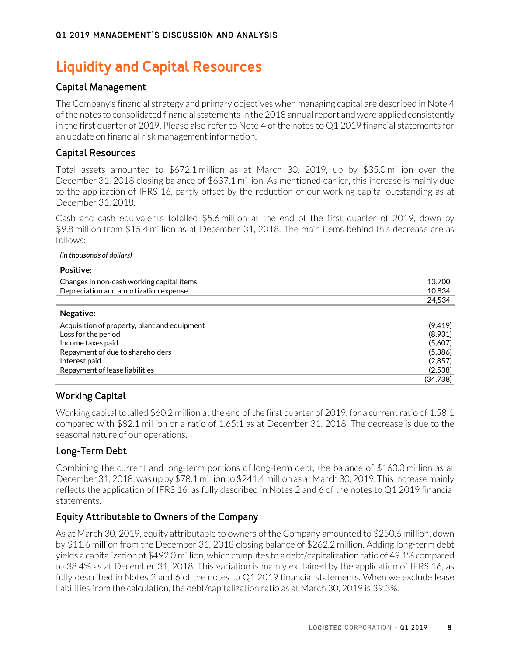# **Liquidity and Capital Resources**

# Capital Management

The Company's financial strategy and primary objectives when managing capital are described in Note 4 of the notes to consolidated financial statements in the 2018 annual report and were applied consistently in the first quarter of 2019. Please also refer to Note 4 of the notes to Q1 2019 financial statements for an update on financial risk management information.

# Capital Resources

Total assets amounted to \$672.1 million as at March 30, 2019, up by \$35.0 million over the December 31, 2018 closing balance of \$637.1 million. As mentioned earlier, this increase is mainly due to the application of IFRS 16, partly offset by the reduction of our working capital outstanding as at December 31, 2018.

Cash and cash equivalents totalled \$5.6 million at the end of the first quarter of 2019, down by \$9.8 million from \$15.4 million as at December 31, 2018. The main items behind this decrease are as follows:

#### *(in thousands of dollars)*

| <b>Positive:</b>                             |          |
|----------------------------------------------|----------|
| Changes in non-cash working capital items    | 13,700   |
| Depreciation and amortization expense        | 10,834   |
|                                              | 24,534   |
| Negative:                                    |          |
| Acquisition of property, plant and equipment | (9, 419) |
| Loss for the period                          | (8,931)  |
| Income taxes paid                            | (5,607)  |
| Repayment of due to shareholders             | (5,386)  |
| Interest paid                                | (2,857)  |
| Repayment of lease liabilities               | (2,538)  |
|                                              | (34,738) |

## Working Capital

Working capital totalled \$60.2 million at the end of the first quarter of 2019, for a current ratio of 1.58:1 compared with \$82.1 million or a ratio of 1.65:1 as at December 31, 2018. The decrease is due to the seasonal nature of our operations.

# Long-Term Debt

Combining the current and long-term portions of long-term debt, the balance of \$163.3 million as at December 31, 2018, was up by \$78.1 million to \$241.4 million as at March 30, 2019. This increase mainly reflects the application of IFRS 16*,* as fully described in Notes 2 and 6 of the notes to Q1 2019 financial statements.

## Equity Attributable to Owners of the Company

As at March 30, 2019, equity attributable to owners of the Company amounted to \$250.6 million, down by \$11.6 million from the December 31, 2018 closing balance of \$262.2 million. Adding long-term debt yields a capitalization of \$492.0 million, which computes to a debt/capitalization ratio of 49.1% compared to 38.4% as at December 31, 2018. This variation is mainly explained by the application of IFRS 16, as fully described in Notes 2 and 6 of the notes to Q1 2019 financial statements. When we exclude lease liabilities from the calculation, the debt/capitalization ratio as at March 30, 2019 is 39.3%.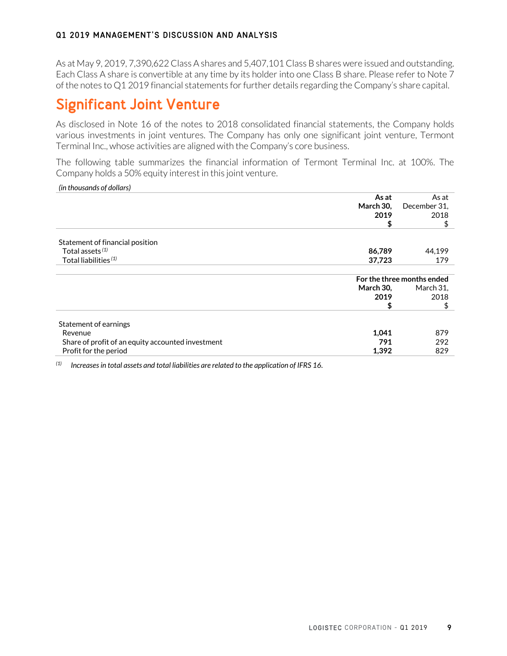#### Q1 2019 MANAGEMENT'S DISCUSSION AND ANALYSIS

As at May 9, 2019, 7,390,622 Class A shares and 5,407,101 Class B shares were issued and outstanding. Each Class A share is convertible at any time by its holder into one Class B share. Please refer to Note 7 of the notes to Q1 2019 financial statements for further details regarding the Company's share capital.

# **Significant Joint Venture**

As disclosed in Note 16 of the notes to 2018 consolidated financial statements, the Company holds various investments in joint ventures. The Company has only one significant joint venture, Termont Terminal Inc., whose activities are aligned with the Company's core business.

The following table summarizes the financial information of Termont Terminal Inc. at 100%. The Company holds a 50% equity interest in this joint venture.

*(in thousands of dollars)*

|                                                   | As at                      | As at        |  |  |
|---------------------------------------------------|----------------------------|--------------|--|--|
|                                                   | March 30,                  | December 31, |  |  |
|                                                   | 2019                       | 2018         |  |  |
|                                                   | \$                         | \$           |  |  |
| Statement of financial position                   |                            |              |  |  |
| Total assets <sup>(1)</sup>                       | 86,789                     | 44,199       |  |  |
| Total liabilities <sup>(1)</sup>                  | 37,723                     | 179          |  |  |
|                                                   | For the three months ended |              |  |  |
|                                                   | <b>March 30,</b>           | March 31,    |  |  |
|                                                   | 2019                       | 2018         |  |  |
|                                                   | \$                         | \$           |  |  |
| Statement of earnings                             |                            |              |  |  |
| Revenue                                           | 1,041                      | 879          |  |  |
| Share of profit of an equity accounted investment | 791                        | 292          |  |  |
| Profit for the period                             | 1,392                      | 829          |  |  |

*(1) Increases in total assets and total liabilities are related to the application of IFRS 16.*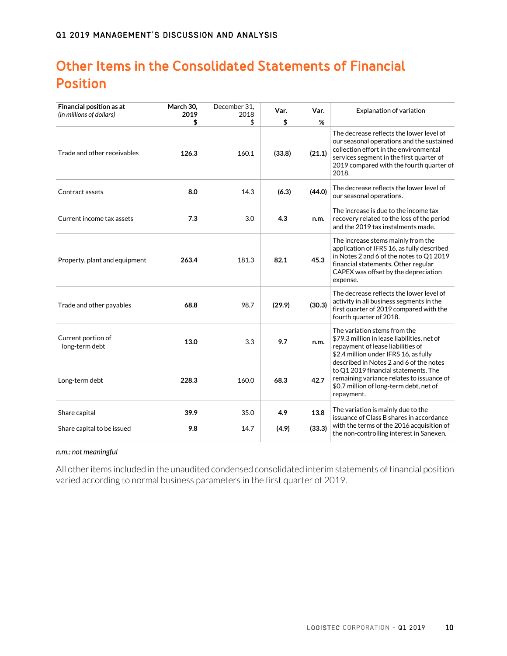# **Other Items in the Consolidated Statements of Financial Position**

| Financial position as at             | March 30,<br>2019 | December 31,<br>2018 | Var.   | Var.   | Explanation of variation                                                                                                                                                                                                                     |
|--------------------------------------|-------------------|----------------------|--------|--------|----------------------------------------------------------------------------------------------------------------------------------------------------------------------------------------------------------------------------------------------|
| (in millions of dollars)             | \$                | \$                   | \$     | %      |                                                                                                                                                                                                                                              |
| Trade and other receivables          | 126.3             | 160.1                | (33.8) | (21.1) | The decrease reflects the lower level of<br>our seasonal operations and the sustained<br>collection effort in the environmental<br>services segment in the first quarter of<br>2019 compared with the fourth quarter of<br>2018.             |
| Contract assets                      | 8.0               | 14.3                 | (6.3)  | (44.0) | The decrease reflects the lower level of<br>our seasonal operations.                                                                                                                                                                         |
| Current income tax assets            | 7.3               | 3.0                  | 4.3    | n.m.   | The increase is due to the income tax<br>recovery related to the loss of the period<br>and the 2019 tax instalments made.                                                                                                                    |
| Property, plant and equipment        | 263.4             | 181.3                | 82.1   | 45.3   | The increase stems mainly from the<br>application of IFRS 16, as fully described<br>in Notes 2 and 6 of the notes to Q1 2019<br>financial statements. Other regular<br>CAPEX was offset by the depreciation<br>expense.                      |
| Trade and other payables             | 68.8              | 98.7                 | (29.9) | (30.3) | The decrease reflects the lower level of<br>activity in all business segments in the<br>first quarter of 2019 compared with the<br>fourth quarter of 2018.                                                                                   |
| Current portion of<br>long-term debt | 13.0              | 3.3                  | 9.7    | n.m.   | The variation stems from the<br>\$79.3 million in lease liabilities, net of<br>repayment of lease liabilities of<br>\$2.4 million under IFRS 16, as fully<br>described in Notes 2 and 6 of the notes<br>to Q1 2019 financial statements. The |
| Long-term debt                       | 228.3             | 160.0                | 68.3   | 42.7   | remaining variance relates to issuance of<br>\$0.7 million of long-term debt, net of<br>repayment.                                                                                                                                           |
| Share capital                        | 39.9              | 35.0                 | 4.9    | 13.8   | The variation is mainly due to the<br>issuance of Class B shares in accordance                                                                                                                                                               |
| Share capital to be issued           | 9.8               | 14.7                 | (4.9)  | (33.3) | with the terms of the 2016 acquisition of<br>the non-controlling interest in Sanexen.                                                                                                                                                        |

#### *n.m.: not meaningful*

All other items included in the unaudited condensed consolidated interim statements of financial position varied according to normal business parameters in the first quarter of 2019.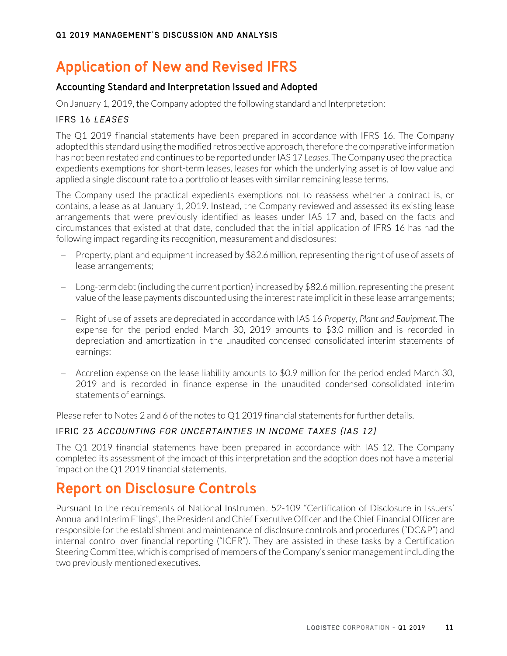# **Application of New and Revised IFRS**

# Accounting Standard and Interpretation Issued and Adopted

On January 1, 2019, the Company adopted the following standard and Interpretation:

### IFRS 16 *LEASES*

The Q1 2019 financial statements have been prepared in accordance with IFRS 16. The Company adopted this standard using the modified retrospective approach, therefore the comparative information has not been restated and continues to be reported under IAS 17 *Leases*. The Company used the practical expedients exemptions for short-term leases, leases for which the underlying asset is of low value and applied a single discount rate to a portfolio of leases with similar remaining lease terms.

The Company used the practical expedients exemptions not to reassess whether a contract is, or contains, a lease as at January 1, 2019. Instead, the Company reviewed and assessed its existing lease arrangements that were previously identified as leases under IAS 17 and, based on the facts and circumstances that existed at that date, concluded that the initial application of IFRS 16 has had the following impact regarding its recognition, measurement and disclosures:

- Property, plant and equipment increased by \$82.6 million, representing the right of use of assets of lease arrangements;
- − Long-term debt (including the current portion) increased by \$82.6 million,representing the present value of the lease payments discounted using the interest rate implicit in these lease arrangements;
- − Right of use of assets are depreciated in accordance with IAS 16 *Property, Plant and Equipment*. The expense for the period ended March 30, 2019 amounts to \$3.0 million and is recorded in depreciation and amortization in the unaudited condensed consolidated interim statements of earnings;
- − Accretion expense on the lease liability amounts to \$0.9 million for the period ended March 30, 2019 and is recorded in finance expense in the unaudited condensed consolidated interim statements of earnings.

Please refer to Notes 2 and 6 of the notes to Q1 2019 financial statements for further details.

## IFRIC 23 *ACCOUNTING FOR UNCERTAINTIES IN INCOME TAXES (IAS 12)*

The Q1 2019 financial statements have been prepared in accordance with IAS 12. The Company completed its assessment of the impact of this interpretation and the adoption does not have a material impact on the Q1 2019 financial statements.

# **Report on Disclosure Controls**

Pursuant to the requirements of National Instrument 52-109 "Certification of Disclosure in Issuers' Annual and Interim Filings", the President and Chief Executive Officer and the Chief Financial Officer are responsible for the establishment and maintenance of disclosure controls and procedures ("DC&P") and internal control over financial reporting ("ICFR"). They are assisted in these tasks by a Certification Steering Committee, which is comprised of members of the Company's senior management including the two previously mentioned executives.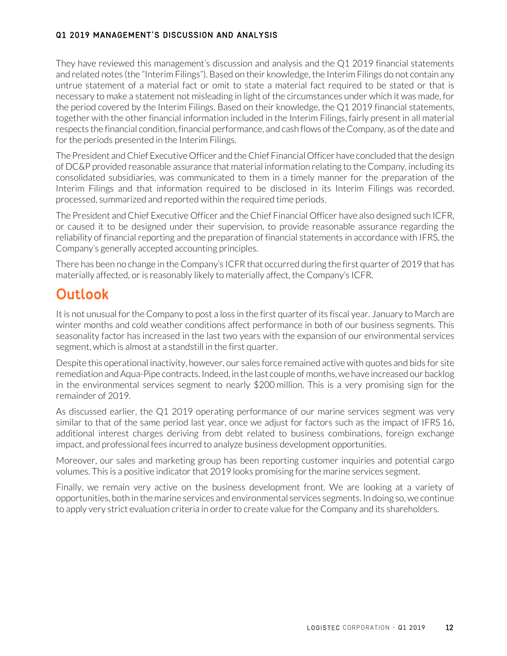### Q1 2019 MANAGEMENT'S DISCUSSION AND ANALYSIS

They have reviewed this management's discussion and analysis and the Q1 2019 financial statements and related notes (the "Interim Filings"). Based on their knowledge, the Interim Filings do not contain any untrue statement of a material fact or omit to state a material fact required to be stated or that is necessary to make a statement not misleading in light of the circumstances under which it was made, for the period covered by the Interim Filings. Based on their knowledge, the Q1 2019 financial statements, together with the other financial information included in the Interim Filings, fairly present in all material respects the financial condition, financial performance, and cash flows of the Company, as of the date and for the periods presented in the Interim Filings.

The President and Chief Executive Officer and the Chief Financial Officer have concluded that the design of DC&P provided reasonable assurance that material information relating to the Company, including its consolidated subsidiaries, was communicated to them in a timely manner for the preparation of the Interim Filings and that information required to be disclosed in its Interim Filings was recorded, processed, summarized and reported within the required time periods.

The President and Chief Executive Officer and the Chief Financial Officer have also designed such ICFR, or caused it to be designed under their supervision, to provide reasonable assurance regarding the reliability of financial reporting and the preparation of financial statements in accordance with IFRS, the Company's generally accepted accounting principles.

There has been no change in the Company's ICFR that occurred during the first quarter of 2019 that has materially affected, or is reasonably likely to materially affect, the Company's ICFR.

# **Outlook**

It is not unusual for the Company to post a loss in the first quarter of its fiscal year. January to March are winter months and cold weather conditions affect performance in both of our business segments. This seasonality factor has increased in the last two years with the expansion of our environmental services segment, which is almost at a standstill in the first quarter.

Despite this operational inactivity, however, our sales force remained active with quotes and bids for site remediation and Aqua-Pipe contracts. Indeed, in the last couple of months, we have increased our backlog in the environmental services segment to nearly \$200 million. This is a very promising sign for the remainder of 2019.

As discussed earlier, the Q1 2019 operating performance of our marine services segment was very similar to that of the same period last year, once we adjust for factors such as the impact of IFRS 16, additional interest charges deriving from debt related to business combinations, foreign exchange impact, and professional fees incurred to analyze business development opportunities.

Moreover, our sales and marketing group has been reporting customer inquiries and potential cargo volumes. This is a positive indicator that 2019 looks promising for the marine services segment.

Finally, we remain very active on the business development front. We are looking at a variety of opportunities, both in the marine services and environmental services segments. In doing so, we continue to apply very strict evaluation criteria in order to create value for the Company and its shareholders.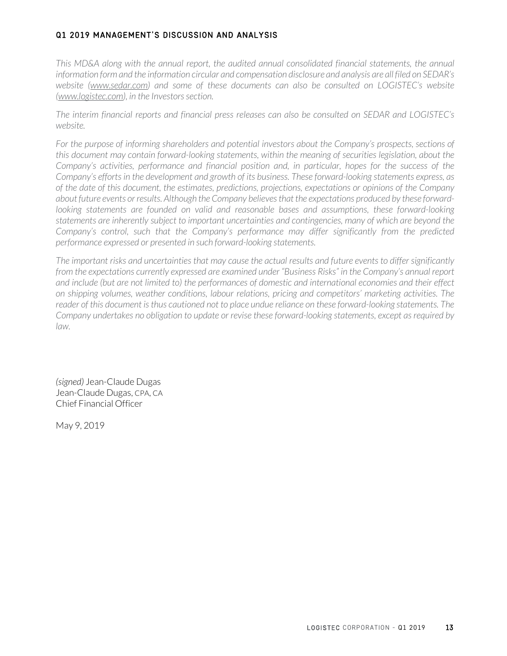#### Q1 2019 MANAGEMENT'S DISCUSSION AND ANALYSIS

*This MD&A along with the annual report, the audited annual consolidated financial statements, the annual information form and the information circular and compensation disclosure and analysis are all filed on SEDAR's website (www.sedar.com) and some of these documents can also be consulted on LOGISTEC's website (www.logistec.com), in the Investors section.*

*The interim financial reports and financial press releases can also be consulted on SEDAR and LOGISTEC's website.*

For the purpose of informing shareholders and potential investors about the Company's prospects, sections of *this document may contain forward-looking statements, within the meaning of securities legislation, about the Company's activities, performance and financial position and, in particular, hopes for the success of the Company's efforts in the development and growth of its business. These forward-looking statements express, as of the date of this document, the estimates, predictions, projections, expectations or opinions of the Company about future events or results. Although the Company believes that the expectations produced by these forward*looking statements are founded on valid and reasonable bases and assumptions, these forward-looking *statements are inherently subject to important uncertainties and contingencies, many of which are beyond the Company's control, such that the Company's performance may differ significantly from the predicted performance expressed or presented in such forward-looking statements.* 

*The important risks and uncertainties that may cause the actual results and future events to differ significantly from the expectations currently expressed are examined under "Business Risks" in the Company's annual report and include (but are not limited to) the performances of domestic and international economies and their effect on shipping volumes, weather conditions, labour relations, pricing and competitors' marketing activities. The reader of this document is thus cautioned not to place undue reliance on these forward-looking statements. The Company undertakes no obligation to update or revise these forward-looking statements, except as required by law.*

*(signed)* Jean-Claude Dugas Jean-Claude Dugas, CPA, CA Chief Financial Officer

May 9, 2019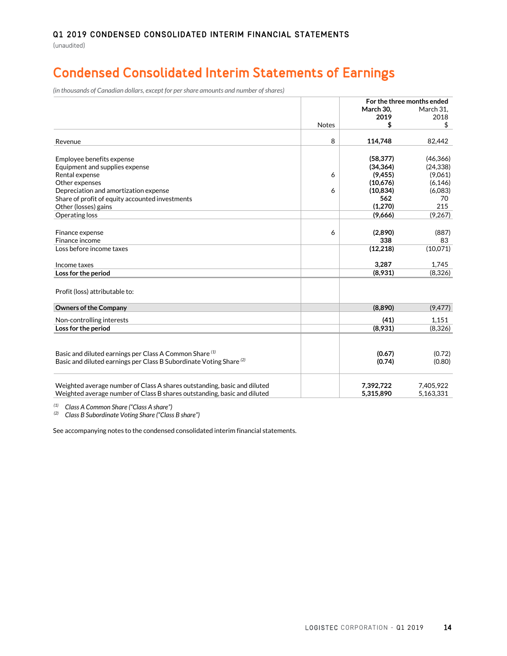# **Condensed Consolidated Interim Statements of Earnings**

*(in thousands of Canadian dollars, except for per share amounts and number of shares)*

|                                                                                |              | For the three months ended |           |  |  |
|--------------------------------------------------------------------------------|--------------|----------------------------|-----------|--|--|
|                                                                                |              | March 30.                  | March 31. |  |  |
|                                                                                |              | 2019                       | 2018      |  |  |
|                                                                                | <b>Notes</b> | \$                         | \$        |  |  |
| Revenue                                                                        | 8            | 114,748                    | 82,442    |  |  |
| Employee benefits expense                                                      |              | (58, 377)                  | (46, 366) |  |  |
| Equipment and supplies expense                                                 |              | (34, 364)                  | (24, 338) |  |  |
| Rental expense                                                                 | 6            | (9, 455)                   | (9,061)   |  |  |
| Other expenses                                                                 |              | (10,676)                   | (6, 146)  |  |  |
| Depreciation and amortization expense                                          | 6            | (10, 834)                  | (6,083)   |  |  |
| Share of profit of equity accounted investments                                |              | 562                        | 70        |  |  |
| Other (losses) gains                                                           |              | (1, 270)                   | 215       |  |  |
| Operating loss                                                                 |              | (9,666)                    | (9,267)   |  |  |
|                                                                                |              |                            |           |  |  |
| Finance expense                                                                | 6            | (2,890)                    | (887)     |  |  |
| Finance income                                                                 |              | 338                        | 83        |  |  |
| Loss before income taxes                                                       |              | (12, 218)                  | (10,071)  |  |  |
| Income taxes                                                                   |              | 3,287                      | 1,745     |  |  |
| Loss for the period                                                            |              | (8,931)                    | (8,326)   |  |  |
|                                                                                |              |                            |           |  |  |
| Profit (loss) attributable to:                                                 |              |                            |           |  |  |
| <b>Owners of the Company</b>                                                   |              | (8,890)                    | (9, 477)  |  |  |
| Non-controlling interests                                                      |              | (41)                       | 1.151     |  |  |
| Loss for the period                                                            |              | (8,931)                    | (8,326)   |  |  |
|                                                                                |              |                            |           |  |  |
| Basic and diluted earnings per Class A Common Share (1)                        |              | (0.67)                     | (0.72)    |  |  |
| Basic and diluted earnings per Class B Subordinate Voting Share <sup>(2)</sup> |              | (0.74)                     | (0.80)    |  |  |
|                                                                                |              |                            |           |  |  |
| Weighted average number of Class A shares outstanding, basic and diluted       |              | 7,392,722                  | 7,405,922 |  |  |
| Weighted average number of Class B shares outstanding, basic and diluted       |              | 5,315,890                  | 5,163,331 |  |  |

*(1) Class A Common Share ("Class A share")*

*(2) Class B Subordinate Voting Share ("Class B share")*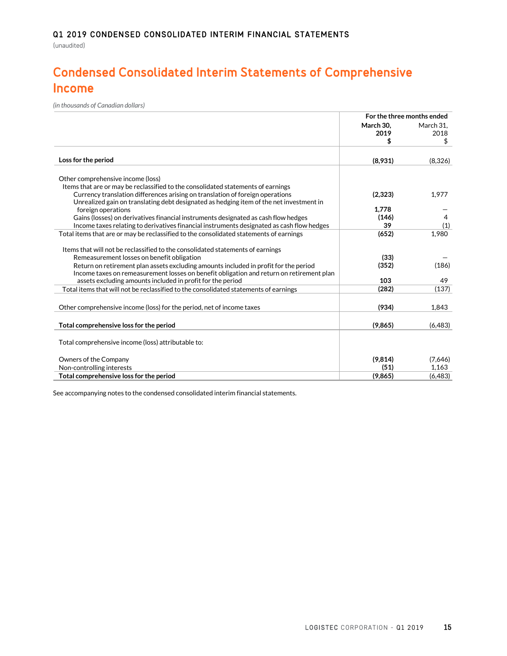# **Condensed Consolidated Interim Statements of Comprehensive Income**

*(in thousands of Canadian dollars)*

|                                                                                           | For the three months ended |                         |  |
|-------------------------------------------------------------------------------------------|----------------------------|-------------------------|--|
|                                                                                           | March 30.<br>2019<br>\$    | March 31,<br>2018<br>\$ |  |
| Loss for the period                                                                       | (8,931)                    | (8,326)                 |  |
| Other comprehensive income (loss)                                                         |                            |                         |  |
| Items that are or may be reclassified to the consolidated statements of earnings          |                            |                         |  |
| Currency translation differences arising on translation of foreign operations             | (2, 323)                   | 1,977                   |  |
| Unrealized gain on translating debt designated as hedging item of the net investment in   |                            |                         |  |
| foreign operations                                                                        | 1.778                      |                         |  |
| Gains (losses) on derivatives financial instruments designated as cash flow hedges        | (146)                      | 4                       |  |
| Income taxes relating to derivatives financial instruments designated as cash flow hedges | 39                         | (1)                     |  |
| Total items that are or may be reclassified to the consolidated statements of earnings    | (652)                      | 1,980                   |  |
|                                                                                           |                            |                         |  |
| Items that will not be reclassified to the consolidated statements of earnings            |                            |                         |  |
| Remeasurement losses on benefit obligation                                                | (33)                       |                         |  |
| Return on retirement plan assets excluding amounts included in profit for the period      | (352)                      | (186)                   |  |
| Income taxes on remeasurement losses on benefit obligation and return on retirement plan  |                            |                         |  |
| assets excluding amounts included in profit for the period                                | 103                        | 49                      |  |
| Total items that will not be reclassified to the consolidated statements of earnings      | (282)                      | (137)                   |  |
|                                                                                           |                            |                         |  |
| Other comprehensive income (loss) for the period, net of income taxes                     | (934)                      | 1.843                   |  |
| Total comprehensive loss for the period                                                   | (9,865)                    | (6,483)                 |  |
|                                                                                           |                            |                         |  |
| Total comprehensive income (loss) attributable to:                                        |                            |                         |  |
| Owners of the Company                                                                     | (9,814)                    | (7,646)                 |  |
| Non-controlling interests                                                                 | (51)                       | 1,163                   |  |
| Total comprehensive loss for the period                                                   | (9,865)                    | (6,483)                 |  |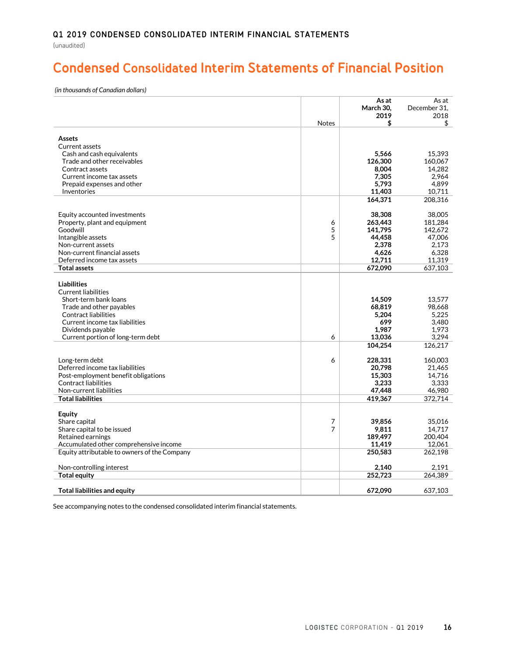# **Condensed Consolidated Interim Statements of Financial Position**

*(in thousands of Canadian dollars)*

|                                                                                        |              | As at<br>March 30, | As at<br>December 31, |
|----------------------------------------------------------------------------------------|--------------|--------------------|-----------------------|
|                                                                                        |              | 2019               | 2018                  |
|                                                                                        | <b>Notes</b> | \$                 | \$                    |
| <b>Assets</b>                                                                          |              |                    |                       |
| Current assets                                                                         |              |                    |                       |
| Cash and cash equivalents                                                              |              | 5,566              | 15,393                |
| Trade and other receivables                                                            |              | 126,300            | 160,067               |
| Contract assets                                                                        |              | 8,004              | 14,282                |
| Current income tax assets                                                              |              | 7,305              | 2,964                 |
| Prepaid expenses and other                                                             |              | 5,793              | 4,899                 |
| Inventories                                                                            |              | 11,403             | 10.711                |
|                                                                                        |              | 164,371            | 208,316               |
| Equity accounted investments                                                           |              | 38,308             | 38,005                |
| Property, plant and equipment                                                          | 6            | 263,443            | 181.284               |
| Goodwill                                                                               | 5            | 141.795            | 142.672               |
| Intangible assets                                                                      | 5            | 44,458             | 47,006                |
| Non-current assets                                                                     |              | 2,378              | 2.173                 |
| Non-current financial assets                                                           |              | 4,626              | 6.328                 |
| Deferred income tax assets                                                             |              | 12,711             | 11,319                |
| <b>Total assets</b>                                                                    |              | 672,090            | 637,103               |
|                                                                                        |              |                    |                       |
| <b>Liabilities</b><br><b>Current liabilities</b>                                       |              |                    |                       |
| Short-term bank loans                                                                  |              | 14,509             | 13.577                |
| Trade and other payables                                                               |              | 68,819             | 98,668                |
| Contract liabilities                                                                   |              | 5,204              | 5,225                 |
| Current income tax liabilities                                                         |              | 699                | 3.480                 |
| Dividends payable                                                                      |              | 1,987              | 1,973                 |
| Current portion of long-term debt                                                      | 6            | 13,036             | 3.294                 |
|                                                                                        |              | 104,254            | 126,217               |
| Long-term debt                                                                         | 6            | 228,331            | 160.003               |
| Deferred income tax liabilities                                                        |              | 20,798             | 21,465                |
| Post-employment benefit obligations                                                    |              | 15.303             | 14.716                |
| <b>Contract liabilities</b>                                                            |              | 3,233              | 3,333                 |
| Non-current liabilities                                                                |              | 47,448             | 46,980                |
| <b>Total liabilities</b>                                                               |              | 419.367            | 372.714               |
|                                                                                        |              |                    |                       |
| <b>Equity</b>                                                                          |              |                    |                       |
| Share capital                                                                          | 7            | 39,856             | 35.016                |
| Share capital to be issued                                                             | 7            | 9,811              | 14,717                |
| Retained earnings                                                                      |              | 189,497            | 200,404               |
| Accumulated other comprehensive income<br>Equity attributable to owners of the Company |              | 11,419<br>250,583  | 12,061<br>262,198     |
|                                                                                        |              |                    |                       |
| Non-controlling interest                                                               |              | 2,140              | 2.191                 |
| <b>Total equity</b>                                                                    |              | 252,723            | 264,389               |
|                                                                                        |              |                    |                       |
| <b>Total liabilities and equity</b>                                                    |              | 672.090            | 637.103               |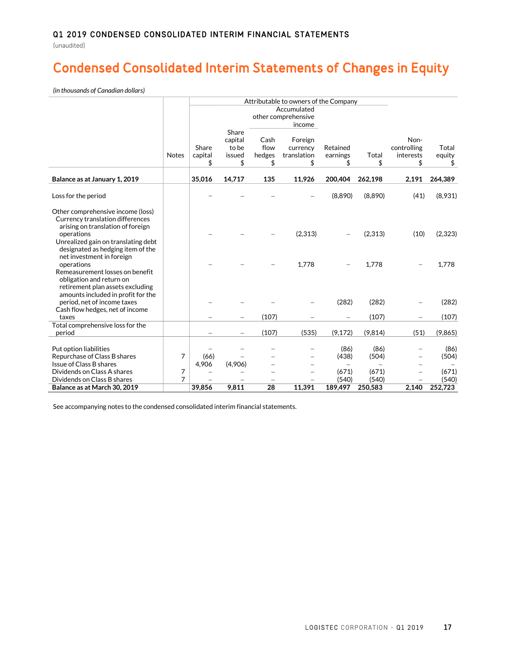(unaudited)

# **Condensed Consolidated Interim Statements of Changes in Equity**

*(in thousands of Canadian dollars)*

|                                                                                                                                                                                                      |              |                        | Attributable to owners of the Company     |                              |                                              |                           |                           |                                  |                           |
|------------------------------------------------------------------------------------------------------------------------------------------------------------------------------------------------------|--------------|------------------------|-------------------------------------------|------------------------------|----------------------------------------------|---------------------------|---------------------------|----------------------------------|---------------------------|
|                                                                                                                                                                                                      |              |                        |                                           |                              | Accumulated<br>other comprehensive<br>income |                           |                           |                                  |                           |
|                                                                                                                                                                                                      | <b>Notes</b> | Share<br>capital<br>\$ | Share<br>capital<br>to be<br>issued<br>\$ | Cash<br>flow<br>hedges<br>\$ | Foreign<br>currency<br>translation<br>\$     | Retained<br>earnings      | Total<br>\$               | Non-<br>controlling<br>interests | Total<br>equity<br>\$     |
| Balance as at January 1, 2019                                                                                                                                                                        |              | 35,016                 | 14,717                                    | 135                          | 11,926                                       | 200.404                   | 262,198                   | 2,191                            | 264,389                   |
| Loss for the period                                                                                                                                                                                  |              |                        |                                           |                              |                                              | (8,890)                   | (8,890)                   | (41)                             | (8,931)                   |
| Other comprehensive income (loss)<br>Currency translation differences<br>arising on translation of foreign<br>operations<br>Unrealized gain on translating debt<br>designated as hedging item of the |              |                        |                                           |                              | (2,313)                                      |                           | (2,313)                   | (10)                             | (2,323)                   |
| net investment in foreign<br>operations<br>Remeasurement losses on benefit<br>obligation and return on<br>retirement plan assets excluding                                                           |              |                        |                                           |                              | 1,778                                        |                           | 1.778                     |                                  | 1.778                     |
| amounts included in profit for the<br>period, net of income taxes                                                                                                                                    |              |                        |                                           |                              |                                              | (282)                     | (282)                     |                                  | (282)                     |
| Cash flow hedges, net of income<br>taxes                                                                                                                                                             |              |                        |                                           | (107)                        |                                              |                           | (107)                     |                                  | (107)                     |
| Total comprehensive loss for the<br>period                                                                                                                                                           |              |                        |                                           | (107)                        | (535)                                        | (9, 172)                  | (9,814)                   | (51)                             | (9,865)                   |
| Put option liabilities<br>Repurchase of Class B shares<br>Issue of Class B shares                                                                                                                    | 7            | (66)<br>4,906          | (4,906)                                   |                              |                                              | (86)<br>(438)<br>$\equiv$ | (86)<br>(504)             | $\equiv$                         | (86)<br>(504)             |
| Dividends on Class A shares<br>Dividends on Class B shares<br>Balance as at March 30, 2019                                                                                                           | 7<br>7       | 39.856                 | 9,811                                     | 28                           | 11,391                                       | (671)<br>(540)<br>189,497 | (671)<br>(540)<br>250,583 | 2,140                            | (671)<br>(540)<br>252,723 |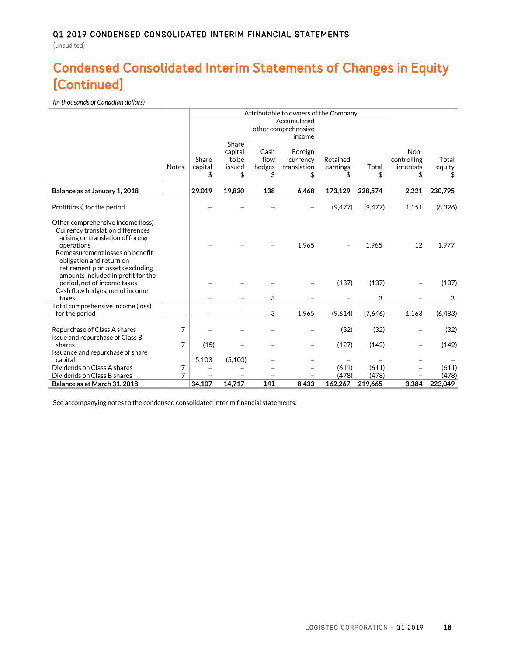# **Condensed Consolidated Interim Statements of Changes in Equity (Continued)**

*(in thousands of Canadian dollars)*

|                                                                                                                                                                                                                             |              |         | Attributable to owners of the Company |              |                                    |          |          |                     |          |
|-----------------------------------------------------------------------------------------------------------------------------------------------------------------------------------------------------------------------------|--------------|---------|---------------------------------------|--------------|------------------------------------|----------|----------|---------------------|----------|
|                                                                                                                                                                                                                             |              |         |                                       |              | Accumulated<br>other comprehensive |          |          |                     |          |
|                                                                                                                                                                                                                             |              | Share   | Share<br>capital<br>to be             | Cash<br>flow | income<br>Foreign<br>currency      | Retained |          | Non-<br>controlling | Total    |
|                                                                                                                                                                                                                             | <b>Notes</b> | capital | issued                                | hedges       | translation                        | earnings | Total    | interests           | equity   |
|                                                                                                                                                                                                                             |              | S       | \$                                    | \$           | \$                                 | S        | \$       | S                   | \$       |
| Balance as at January 1, 2018                                                                                                                                                                                               |              | 29,019  | 19,820                                | 138          | 6,468                              | 173,129  | 228,574  | 2,221               | 230,795  |
| Profit(loss) for the period                                                                                                                                                                                                 |              |         |                                       |              |                                    | (9, 477) | (9, 477) | 1,151               | (8,326)  |
| Other comprehensive income (loss)<br>Currency translation differences<br>arising on translation of foreign<br>operations<br>Remeasurement losses on benefit<br>obligation and return on<br>retirement plan assets excluding |              |         |                                       |              | 1,965                              |          | 1,965    | 12                  | 1,977    |
| amounts included in profit for the<br>period, net of income taxes<br>Cash flow hedges, net of income                                                                                                                        |              |         |                                       |              |                                    | (137)    | (137)    |                     | (137)    |
| taxes                                                                                                                                                                                                                       |              |         |                                       | 3            |                                    |          | 3        |                     | 3        |
| Total comprehensive income (loss)<br>for the period                                                                                                                                                                         |              |         |                                       | 3            | 1,965                              | (9,614)  | (7,646)  | 1,163               | (6, 483) |
| Repurchase of Class A shares<br>Issue and repurchase of Class B                                                                                                                                                             | 7            |         |                                       |              |                                    | (32)     | (32)     |                     | (32)     |
| shares                                                                                                                                                                                                                      | 7            | (15)    |                                       |              |                                    | (127)    | (142)    | $\equiv$            | (142)    |
| Issuance and repurchase of share<br>capital                                                                                                                                                                                 |              | 5,103   | (5, 103)                              |              |                                    |          |          |                     |          |
| Dividends on Class A shares                                                                                                                                                                                                 | 7            |         |                                       |              |                                    | (611)    | (611)    |                     | (611)    |
| Dividends on Class B shares                                                                                                                                                                                                 | 7            |         |                                       |              |                                    | (478)    | (478)    |                     | (478)    |
| Balance as at March 31, 2018                                                                                                                                                                                                |              | 34,107  | 14,717                                | 141          | 8,433                              | 162.267  | 219.665  | 3,384               | 223,049  |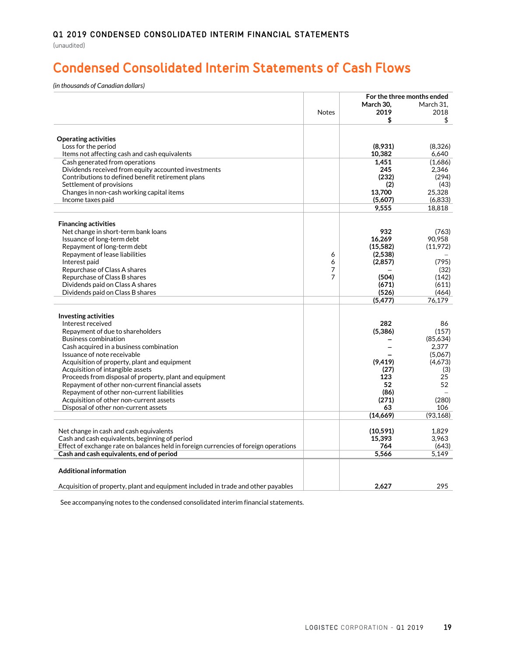# **Condensed Consolidated Interim Statements of Cash Flows**

*(in thousands of Canadian dollars)*

|                                                                                      |              |             | For the three months ended |
|--------------------------------------------------------------------------------------|--------------|-------------|----------------------------|
|                                                                                      |              | March 30.   | March 31.                  |
|                                                                                      | <b>Notes</b> | 2019        | 2018                       |
|                                                                                      |              | \$          | \$                         |
|                                                                                      |              |             |                            |
| <b>Operating activities</b>                                                          |              |             |                            |
| Loss for the period                                                                  |              | (8,931)     | (8,326)                    |
| Items not affecting cash and cash equivalents                                        |              | 10,382      | 6,640                      |
| Cash generated from operations                                                       |              | 1.451       | (1,686)                    |
| Dividends received from equity accounted investments                                 |              | 245         | 2.346                      |
| Contributions to defined benefit retirement plans                                    |              | (232)       | (294)                      |
| Settlement of provisions                                                             |              | (2)         | (43)                       |
| Changes in non-cash working capital items                                            |              | 13.700      | 25.328                     |
| Income taxes paid                                                                    |              | (5,607)     | (6,833)                    |
|                                                                                      |              | 9,555       | 18,818                     |
|                                                                                      |              |             |                            |
| <b>Financing activities</b>                                                          |              | 932         |                            |
| Net change in short-term bank loans<br>Issuance of long-term debt                    |              | 16,269      | (763)<br>90.958            |
| Repayment of long-term debt                                                          |              | (15, 582)   | (11,972)                   |
| Repayment of lease liabilities                                                       | 6            | (2,538)     |                            |
| Interest paid                                                                        | 6            | (2, 857)    | (795)                      |
| Repurchase of Class A shares                                                         | 7            |             | (32)                       |
| Repurchase of Class B shares                                                         | 7            | (504)       | (142)                      |
| Dividends paid on Class A shares                                                     |              | (671)       | (611)                      |
| Dividends paid on Class B shares                                                     |              | (526)       | (464)                      |
|                                                                                      |              | (5, 477)    | 76.179                     |
|                                                                                      |              |             |                            |
| <b>Investing activities</b>                                                          |              |             |                            |
| Interest received                                                                    |              | 282         | 86                         |
| Repayment of due to shareholders                                                     |              | (5, 386)    | (157)                      |
| <b>Business combination</b>                                                          |              |             | (85,634)                   |
| Cash acquired in a business combination                                              |              |             | 2,377                      |
| Issuance of note receivable                                                          |              |             | (5,067)                    |
| Acquisition of property, plant and equipment                                         |              | (9, 419)    | (4,673)                    |
| Acquisition of intangible assets                                                     |              | (27)        | (3)                        |
| Proceeds from disposal of property, plant and equipment                              |              | 123         | 25                         |
| Repayment of other non-current financial assets                                      |              | 52          | 52                         |
| Repayment of other non-current liabilities                                           |              | (86)        |                            |
| Acquisition of other non-current assets<br>Disposal of other non-current assets      |              | (271)<br>63 | (280)<br>106               |
|                                                                                      |              | (14,669)    | (93, 168)                  |
|                                                                                      |              |             |                            |
| Net change in cash and cash equivalents                                              |              | (10, 591)   | 1.829                      |
| Cash and cash equivalents, beginning of period                                       |              | 15.393      | 3.963                      |
| Effect of exchange rate on balances held in foreign currencies of foreign operations |              | 764         | (643)                      |
| Cash and cash equivalents, end of period                                             |              | 5,566       | 5,149                      |
|                                                                                      |              |             |                            |
| <b>Additional information</b>                                                        |              |             |                            |
|                                                                                      |              |             |                            |
| Acquisition of property, plant and equipment included in trade and other payables    |              | 2.627       | 295                        |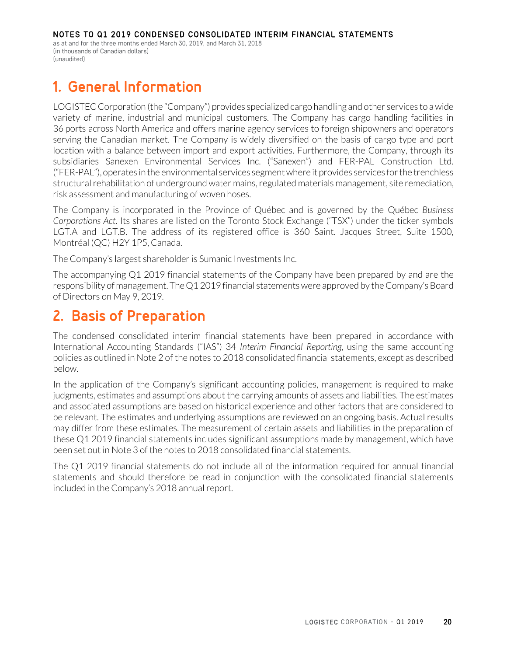as at and for the three months ended March 30, 2019, and March 31, 2018 (in thousands of Canadian dollars) (unaudited)

# **1. General Information**

LOGISTEC Corporation (the "Company") provides specialized cargo handling and other services to a wide variety of marine, industrial and municipal customers. The Company has cargo handling facilities in 36 ports across North America and offers marine agency services to foreign shipowners and operators serving the Canadian market. The Company is widely diversified on the basis of cargo type and port location with a balance between import and export activities. Furthermore, the Company, through its subsidiaries Sanexen Environmental Services Inc. ("Sanexen") and FER-PAL Construction Ltd. ("FER-PAL"), operates in the environmental services segment where it provides services for the trenchless structural rehabilitation of underground water mains, regulated materials management, site remediation, risk assessment and manufacturing of woven hoses.

The Company is incorporated in the Province of Québec and is governed by the Québec *Business Corporations Act*. Its shares are listed on the Toronto Stock Exchange ("TSX") under the ticker symbols LGT.A and LGT.B. The address of its registered office is 360 Saint. Jacques Street, Suite 1500, Montréal (QC) H2Y 1P5, Canada.

The Company's largest shareholder is Sumanic Investments Inc.

The accompanying Q1 2019 financial statements of the Company have been prepared by and are the responsibility of management. The Q1 2019 financial statements were approved by the Company's Board of Directors on May 9, 2019.

# **2. Basis of Preparation**

The condensed consolidated interim financial statements have been prepared in accordance with International Accounting Standards ("IAS") 34 *Interim Financial Reporting*, using the same accounting policies as outlined in Note 2 of the notes to 2018 consolidated financial statements, except as described below.

In the application of the Company's significant accounting policies, management is required to make judgments, estimates and assumptions about the carrying amounts of assets and liabilities. The estimates and associated assumptions are based on historical experience and other factors that are considered to be relevant. The estimates and underlying assumptions are reviewed on an ongoing basis. Actual results may differ from these estimates. The measurement of certain assets and liabilities in the preparation of these Q1 2019 financial statements includes significant assumptions made by management, which have been set out in Note 3 of the notes to 2018 consolidated financial statements.

The Q1 2019 financial statements do not include all of the information required for annual financial statements and should therefore be read in conjunction with the consolidated financial statements included in the Company's 2018 annual report.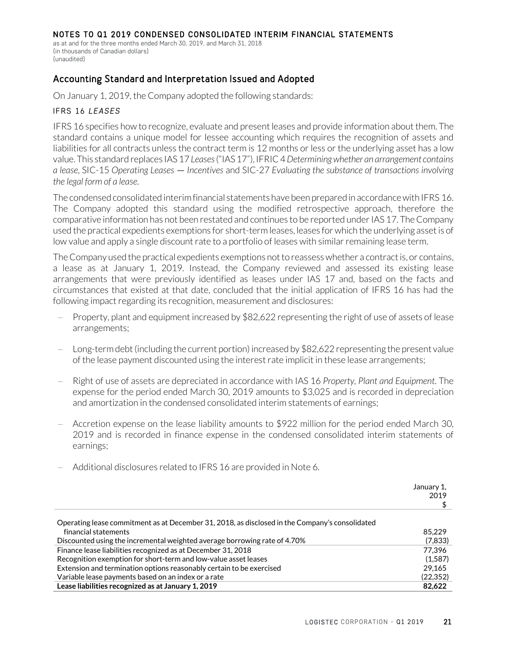as at and for the three months ended March 30, 2019, and March 31, 2018 (in thousands of Canadian dollars) (unaudited)

# Accounting Standard and Interpretation Issued and Adopted

On January 1, 2019, the Company adopted the following standards:

#### IFRS 16 *LEASES*

IFRS 16 specifies how to recognize, evaluate and present leases and provide information about them. The standard contains a unique model for lessee accounting which requires the recognition of assets and liabilities for all contracts unless the contract term is 12 months or less or the underlying asset has a low value. This standard replaces IAS 17 *Leases*("IAS 17"), IFRIC 4 *Determining whether an arrangement contains a lease*, SIC-15 *Operating Leases — Incentives* and SIC-27 *Evaluating the substance of transactions involving the legal form of a lease*.

The condensed consolidated interim financial statements have been prepared in accordance with IFRS 16. The Company adopted this standard using the modified retrospective approach, therefore the comparative information has not been restated and continues to be reported under IAS 17. The Company used the practical expedients exemptions for short-term leases, leases for which the underlying asset is of low value and apply a single discount rate to a portfolio of leases with similar remaining lease term.

The Company used the practical expedients exemptions not to reassess whether a contract is, or contains, a lease as at January 1, 2019. Instead, the Company reviewed and assessed its existing lease arrangements that were previously identified as leases under IAS 17 and, based on the facts and circumstances that existed at that date, concluded that the initial application of IFRS 16 has had the following impact regarding its recognition, measurement and disclosures:

- Property, plant and equipment increased by \$82,622 representing the right of use of assets of lease arrangements;
- − Long-term debt (including the current portion) increased by \$82,622 representing the present value of the lease payment discounted using the interest rate implicit in these lease arrangements;
- − Right of use of assets are depreciated in accordance with IAS 16 *Property, Plant and Equipment*. The expense for the period ended March 30, 2019 amounts to \$3,025 and is recorded in depreciation and amortization in the condensed consolidated interim statements of earnings;
- − Accretion expense on the lease liability amounts to \$922 million for the period ended March 30, 2019 and is recorded in finance expense in the condensed consolidated interim statements of earnings;
- January 1, 2019 \$ Operating lease commitment as at December 31, 2018, as disclosed in the Company's consolidated financial statements 85,229 Discounted using the incremental weighted average borrowing rate of 4.70% (7,833) Finance lease liabilities recognized as at December 31, 2018 **Finance 2018** 77,396 Recognition exemption for short-term and low-value asset leases (1,587) Extension and termination options reasonably certain to be exercised 29,165 Variable lease payments based on an index or a rate (22,352) **Lease liabilities recognized as at January 1, 2019 82,622**
- − Additional disclosures related to IFRS 16 are provided in Note 6.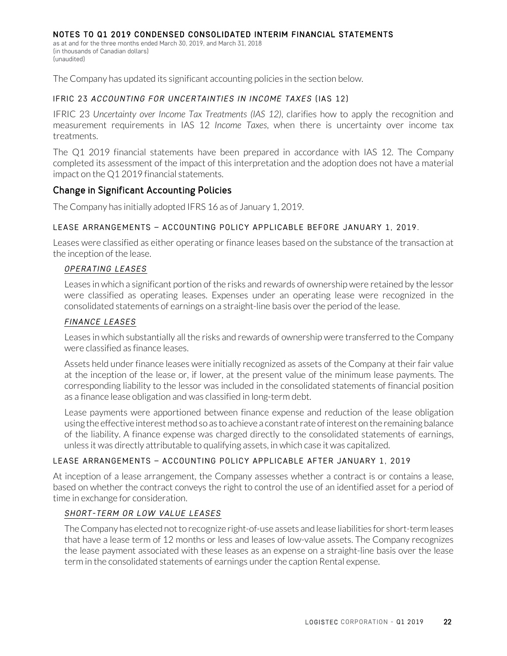as at and for the three months ended March 30, 2019, and March 31, 2018 (in thousands of Canadian dollars) (unaudited)

The Company has updated its significant accounting policies in the section below.

#### IFRIC 23 *ACCOUNTING FOR UNCERTAINTIES IN INCOME TAXES* (IAS 12)

IFRIC 23 *Uncertainty over Income Tax Treatments (IAS 12)*, clarifies how to apply the recognition and measurement requirements in IAS 12 *Income Taxes*, when there is uncertainty over income tax treatments.

The Q1 2019 financial statements have been prepared in accordance with IAS 12. The Company completed its assessment of the impact of this interpretation and the adoption does not have a material impact on the Q1 2019 financial statements.

#### Change in Significant Accounting Policies

The Company has initially adopted IFRS 16 as of January 1, 2019.

#### LEASE ARRANGEMENTS – ACCOUNTING POLICY APPLICABLE BEFORE JANUARY 1, 2019.

Leases were classified as either operating or finance leases based on the substance of the transaction at the inception of the lease.

#### *OPERATING LEASES*

Leases in which a significant portion of the risks and rewards of ownership were retained by the lessor were classified as operating leases. Expenses under an operating lease were recognized in the consolidated statements of earnings on a straight-line basis over the period of the lease.

#### *FINANCE LEASES*

Leases in which substantially all the risks and rewards of ownership were transferred to the Company were classified as finance leases.

Assets held under finance leases were initially recognized as assets of the Company at their fair value at the inception of the lease or, if lower, at the present value of the minimum lease payments. The corresponding liability to the lessor was included in the consolidated statements of financial position as a finance lease obligation and was classified in long-term debt.

Lease payments were apportioned between finance expense and reduction of the lease obligation using the effective interest method so as to achieve a constant rate of interest on the remaining balance of the liability. A finance expense was charged directly to the consolidated statements of earnings, unless it was directly attributable to qualifying assets, in which case it was capitalized.

#### LEASE ARRANGEMENTS – ACCOUNTING POLICY APPLICABLE AFTER JANUARY 1, 2019

At inception of a lease arrangement, the Company assesses whether a contract is or contains a lease, based on whether the contract conveys the right to control the use of an identified asset for a period of time in exchange for consideration.

#### *SHORT-TERM OR LOW VALUE LEASES*

The Company has elected not to recognize right-of-use assets and lease liabilities for short-term leases that have a lease term of 12 months or less and leases of low-value assets. The Company recognizes the lease payment associated with these leases as an expense on a straight-line basis over the lease term in the consolidated statements of earnings under the caption Rental expense.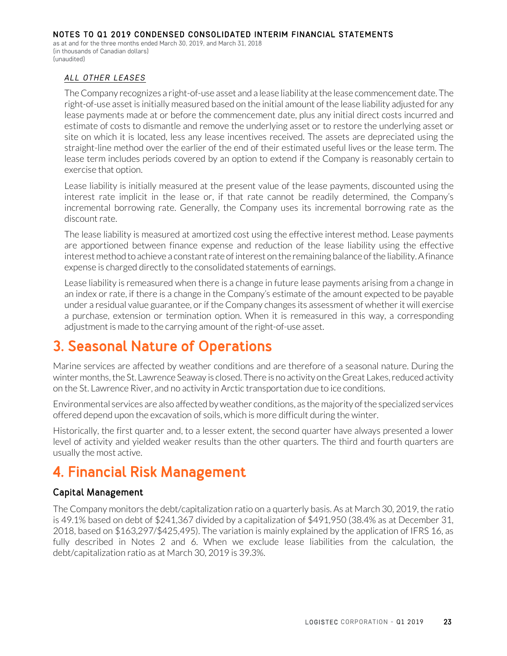as at and for the three months ended March 30, 2019, and March 31, 2018 (in thousands of Canadian dollars) (unaudited)

#### *ALL OTHER LEASES*

The Company recognizes a right-of-use asset and a lease liability at the lease commencement date. The right-of-use asset is initially measured based on the initial amount of the lease liability adjusted for any lease payments made at or before the commencement date, plus any initial direct costs incurred and estimate of costs to dismantle and remove the underlying asset or to restore the underlying asset or site on which it is located, less any lease incentives received. The assets are depreciated using the straight-line method over the earlier of the end of their estimated useful lives or the lease term. The lease term includes periods covered by an option to extend if the Company is reasonably certain to exercise that option.

Lease liability is initially measured at the present value of the lease payments, discounted using the interest rate implicit in the lease or, if that rate cannot be readily determined, the Company's incremental borrowing rate. Generally, the Company uses its incremental borrowing rate as the discount rate.

The lease liability is measured at amortized cost using the effective interest method. Lease payments are apportioned between finance expense and reduction of the lease liability using the effective interest method to achieve a constant rate of interest on the remaining balance of the liability. A finance expense is charged directly to the consolidated statements of earnings.

Lease liability is remeasured when there is a change in future lease payments arising from a change in an index or rate, if there is a change in the Company's estimate of the amount expected to be payable under a residual value guarantee, or if the Company changes its assessment of whether it will exercise a purchase, extension or termination option. When it is remeasured in this way, a corresponding adjustment is made to the carrying amount of the right-of-use asset.

# **3. Seasonal Nature of Operations**

Marine services are affected by weather conditions and are therefore of a seasonal nature. During the winter months, the St. Lawrence Seaway is closed. There is no activity on the Great Lakes, reduced activity on the St. Lawrence River, and no activity in Arctic transportation due to ice conditions.

Environmental services are also affected by weather conditions, as the majority of the specialized services offered depend upon the excavation of soils, which is more difficult during the winter.

Historically, the first quarter and, to a lesser extent, the second quarter have always presented a lower level of activity and yielded weaker results than the other quarters. The third and fourth quarters are usually the most active.

# **4. Financial Risk Management**

## Capital Management

The Company monitors the debt/capitalization ratio on a quarterly basis. As at March 30, 2019, the ratio is 49.1% based on debt of \$241,367 divided by a capitalization of \$491,950 (38.4% as at December 31, 2018, based on \$163,297/\$425,495). The variation is mainly explained by the application of IFRS 16, as fully described in Notes 2 and 6. When we exclude lease liabilities from the calculation, the debt/capitalization ratio as at March 30, 2019 is 39.3%.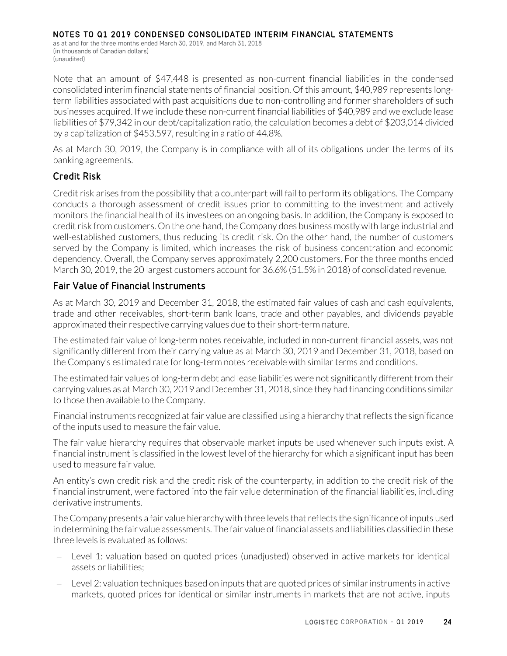as at and for the three months ended March 30, 2019, and March 31, 2018 (in thousands of Canadian dollars) (unaudited)

Note that an amount of \$47,448 is presented as non-current financial liabilities in the condensed consolidated interim financial statements of financial position. Of this amount, \$40,989 represents longterm liabilities associated with past acquisitions due to non-controlling and former shareholders of such businesses acquired. If we include these non-current financial liabilities of \$40,989 and we exclude lease liabilities of \$79,342 in our debt/capitalization ratio, the calculation becomes a debt of \$203,014 divided by a capitalization of \$453,597, resulting in a ratio of 44.8%.

As at March 30, 2019, the Company is in compliance with all of its obligations under the terms of its banking agreements.

### Credit Risk

Credit risk arises from the possibility that a counterpart will fail to perform its obligations. The Company conducts a thorough assessment of credit issues prior to committing to the investment and actively monitors the financial health of its investees on an ongoing basis. In addition, the Company is exposed to credit risk from customers. On the one hand, the Company does business mostly with large industrial and well-established customers, thus reducing its credit risk. On the other hand, the number of customers served by the Company is limited, which increases the risk of business concentration and economic dependency. Overall, the Company serves approximately 2,200 customers. For the three months ended March 30, 2019, the 20 largest customers account for 36.6% (51.5% in 2018) of consolidated revenue.

### Fair Value of Financial Instruments

As at March 30, 2019 and December 31, 2018, the estimated fair values of cash and cash equivalents, trade and other receivables, short-term bank loans, trade and other payables, and dividends payable approximated their respective carrying values due to their short-term nature.

The estimated fair value of long-term notes receivable, included in non-current financial assets, was not significantly different from their carrying value as at March 30, 2019 and December 31, 2018, based on the Company's estimated rate for long-term notes receivable with similar terms and conditions.

The estimated fair values of long-term debt and lease liabilities were not significantly different from their carrying values as at March 30, 2019 and December 31, 2018, since they had financing conditions similar to those then available to the Company.

Financial instruments recognized at fair value are classified using a hierarchy that reflects the significance of the inputs used to measure the fair value.

The fair value hierarchy requires that observable market inputs be used whenever such inputs exist. A financial instrument is classified in the lowest level of the hierarchy for which a significant input has been used to measure fair value.

An entity's own credit risk and the credit risk of the counterparty, in addition to the credit risk of the financial instrument, were factored into the fair value determination of the financial liabilities, including derivative instruments.

The Company presents a fair value hierarchy with three levels that reflects the significance of inputs used in determining the fair value assessments. The fair value of financial assets and liabilities classified in these three levels is evaluated as follows:

- − Level 1: valuation based on quoted prices (unadjusted) observed in active markets for identical assets or liabilities;
- − Level 2: valuation techniques based on inputs that are quoted prices of similar instruments in active markets, quoted prices for identical or similar instruments in markets that are not active, inputs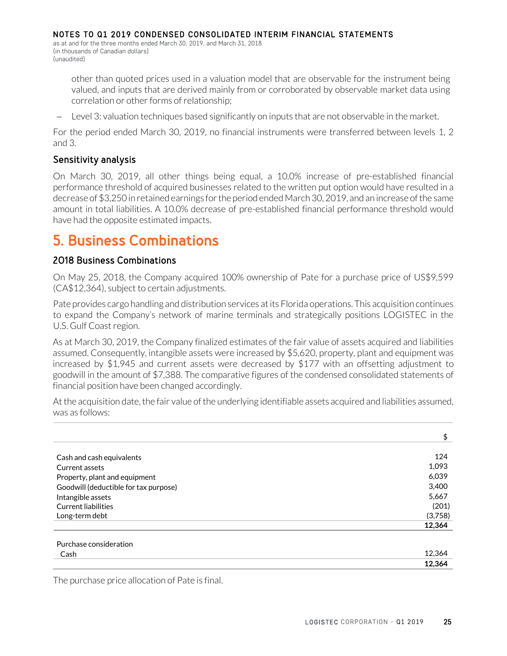NOTES TO Q1 2019 CONDENSED CONSOLIDATED INTERIM FINANCIAL STATEMENTS as at and for the three months ended March 30, 2019, and March 31, 2018

(in thousands of Canadian dollars) (unaudited)

> other than quoted prices used in a valuation model that are observable for the instrument being valued, and inputs that are derived mainly from or corroborated by observable market data using correlation or other forms of relationship;

− Level 3: valuation techniques based significantly on inputs that are not observable in the market.

For the period ended March 30, 2019, no financial instruments were transferred between levels 1, 2 and 3.

# Sensitivity analysis

On March 30, 2019, all other things being equal, a 10.0% increase of pre-established financial performance threshold of acquired businesses related to the written put option would have resulted in a decrease of \$3,250 in retained earnings for the period ended March 30, 2019, and an increase of the same amount in total liabilities. A 10.0% decrease of pre-established financial performance threshold would have had the opposite estimated impacts.

# **5. Business Combinations**

## 2018 Business Combinations

On May 25, 2018, the Company acquired 100% ownership of Pate for a purchase price of US\$9,599 (CA\$12,364), subject to certain adjustments.

Pate provides cargo handling and distribution services at its Florida operations. This acquisition continues to expand the Company's network of marine terminals and strategically positions LOGISTEC in the U.S. Gulf Coast region.

As at March 30, 2019, the Company finalized estimates of the fair value of assets acquired and liabilities assumed. Consequently, intangible assets were increased by \$5,620, property, plant and equipment was increased by \$1,945 and current assets were decreased by \$177 with an offsetting adjustment to goodwill in the amount of \$7,388. The comparative figures of the condensed consolidated statements of financial position have been changed accordingly.

At the acquisition date, the fair value of the underlying identifiable assets acquired and liabilities assumed, was as follows:

| 124     |
|---------|
|         |
| 1,093   |
| 6,039   |
| 3,400   |
| 5,667   |
| (201)   |
| (3,758) |
| 12,364  |
|         |

| the contract of the contract of the contract of the contract of the contract of the contract of the contract of<br>~<br>ash. |  |
|------------------------------------------------------------------------------------------------------------------------------|--|
|                                                                                                                              |  |

The purchase price allocation of Pate is final.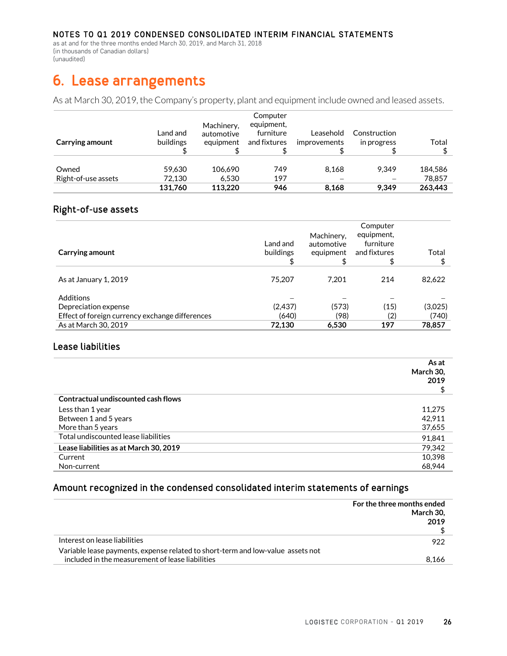as at and for the three months ended March 30, 2019, and March 31, 2018 (in thousands of Canadian dollars) (unaudited)

# **6. Lease arrangements**

As at March 30, 2019, the Company's property, plant and equipment include owned and leased assets.

| Carrying amount              | Land and<br>buildings | Machinery,<br>automotive<br>equipment | Computer<br>equipment,<br>furniture<br>and fixtures | Leasehold<br>improvements | Construction<br>in progress | Total             |
|------------------------------|-----------------------|---------------------------------------|-----------------------------------------------------|---------------------------|-----------------------------|-------------------|
| Owned<br>Right-of-use assets | 59.630<br>72.130      | 106.690<br>6.530                      | 749<br>197                                          | 8.168                     | 9.349                       | 184.586<br>78,857 |
|                              | 131.760               | 113.220                               | 946                                                 | 8.168                     | 9.349                       | 263,443           |

#### Right-of-use assets

| Carrying amount                                 | Land and<br>buildings | Machinery,<br>automotive<br>equipment<br>\$ | Computer<br>equipment,<br>furniture<br>and fixtures<br>\$ | Total   |
|-------------------------------------------------|-----------------------|---------------------------------------------|-----------------------------------------------------------|---------|
| As at January 1, 2019                           | 75.207                | 7.201                                       | 214                                                       | 82,622  |
| <b>Additions</b><br>Depreciation expense        | (2,437)               | (573)                                       | (15)                                                      | (3,025) |
| Effect of foreign currency exchange differences | (640)                 | (98)                                        | (2)                                                       | (740)   |
| As at March 30, 2019                            | 72.130                | 6,530                                       | 197                                                       | 78.857  |

#### Lease liabilities

|                                        | As at<br>March 30,<br>2019 |
|----------------------------------------|----------------------------|
| Contractual undiscounted cash flows    |                            |
| Less than 1 year                       | 11.275                     |
| Between 1 and 5 years                  | 42.911                     |
| More than 5 years                      | 37,655                     |
| Total undiscounted lease liabilities   | 91,841                     |
| Lease liabilities as at March 30, 2019 | 79,342                     |
| Current                                | 10.398                     |
| Non-current                            | 68,944                     |

### Amount recognized in the condensed consolidated interim statements of earnings

|                                                                                 | For the three months ended<br>March 30.<br>2019 |
|---------------------------------------------------------------------------------|-------------------------------------------------|
| Interest on lease liabilities                                                   | 922                                             |
| Variable lease payments, expense related to short-term and low-value assets not |                                                 |
| included in the measurement of lease liabilities                                | 8.166                                           |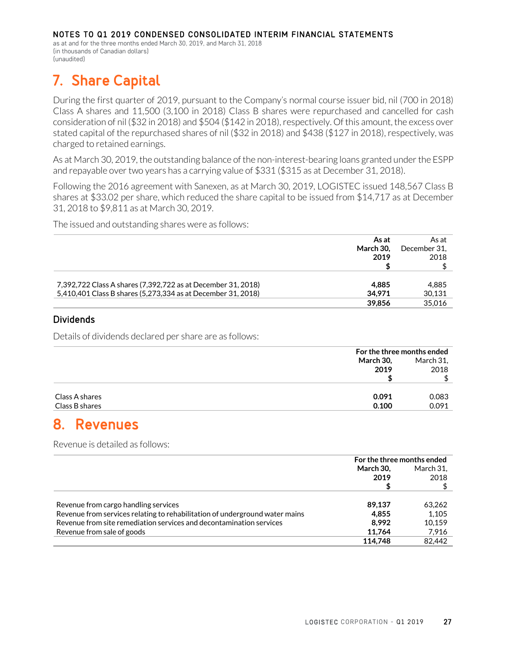as at and for the three months ended March 30, 2019, and March 31, 2018 (in thousands of Canadian dollars) (unaudited)

# **7. Share Capital**

During the first quarter of 2019, pursuant to the Company's normal course issuer bid, nil (700 in 2018) Class A shares and 11,500 (3,100 in 2018) Class B shares were repurchased and cancelled for cash consideration of nil (\$32 in 2018) and \$504 (\$142 in 2018), respectively. Of this amount, the excess over stated capital of the repurchased shares of nil (\$32 in 2018) and \$438 (\$127 in 2018), respectively, was charged to retained earnings.

As at March 30, 2019, the outstanding balance of the non-interest-bearing loans granted under the ESPP and repayable over two years has a carrying value of \$331 (\$315 as at December 31, 2018).

Following the 2016 agreement with Sanexen, as at March 30, 2019, LOGISTEC issued 148,567 Class B shares at \$33.02 per share, which reduced the share capital to be issued from \$14,717 as at December 31, 2018 to \$9,811 as at March 30, 2019.

The issued and outstanding shares were as follows:

| As at<br>March 30.<br>2019                                                                                                                      | As at<br>December 31.<br>2018 |
|-------------------------------------------------------------------------------------------------------------------------------------------------|-------------------------------|
| 7,392,722 Class A shares (7,392,722 as at December 31, 2018)<br>4.885<br>5,410,401 Class B shares (5,273,334 as at December 31, 2018)<br>34.971 | 4.885<br>30.131               |
| 39.856                                                                                                                                          | 35,016                        |

#### Dividends

Details of dividends declared per share are as follows:

|                         | For the three months ended |  |
|-------------------------|----------------------------|--|
| March 30,               | March 31,                  |  |
| 2019                    | 2018                       |  |
|                         |                            |  |
|                         |                            |  |
| 0.091<br>Class A shares | 0.083                      |  |
| Class B shares<br>0.100 | 0.091                      |  |

# **8. Revenues**

Revenue is detailed as follows:

|                                                                             | For the three months ended |           |
|-----------------------------------------------------------------------------|----------------------------|-----------|
|                                                                             | March 30.                  | March 31. |
|                                                                             | 2019                       | 2018      |
|                                                                             |                            |           |
|                                                                             |                            |           |
| Revenue from cargo handling services                                        | 89.137                     | 63,262    |
| Revenue from services relating to rehabilitation of underground water mains | 4.855                      | 1.105     |
| Revenue from site remediation services and decontamination services         | 8.992                      | 10.159    |
| Revenue from sale of goods                                                  | 11.764                     | 7,916     |
|                                                                             | 114,748                    | 82.442    |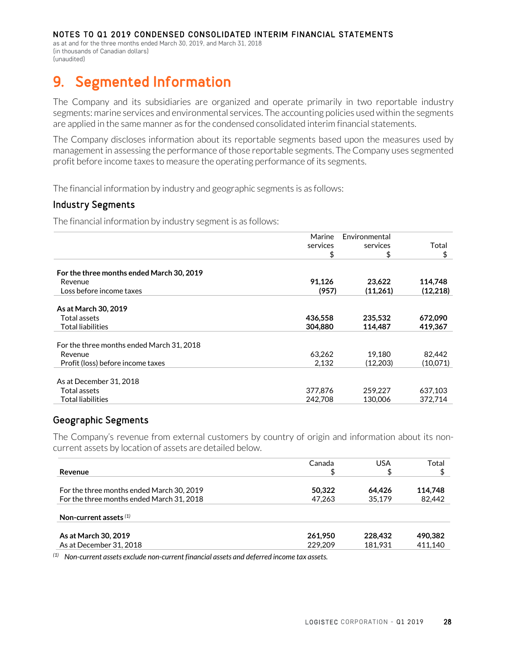as at and for the three months ended March 30, 2019, and March 31, 2018 (in thousands of Canadian dollars) (unaudited)

# **9. Segmented Information**

The Company and its subsidiaries are organized and operate primarily in two reportable industry segments: marine services and environmental services. The accounting policies used within the segments are applied in the same manner as for the condensed consolidated interim financial statements.

The Company discloses information about its reportable segments based upon the measures used by management in assessing the performance of those reportable segments. The Company uses segmented profit before income taxes to measure the operating performance of its segments.

The financial information by industry and geographic segments is as follows:

#### Industry Segments

The financial information by industry segment is as follows:

|                                           | Marine   | Environmental |          |
|-------------------------------------------|----------|---------------|----------|
|                                           | services | services      | Total    |
|                                           | \$       | \$            | \$       |
|                                           |          |               |          |
| For the three months ended March 30, 2019 |          |               |          |
| Revenue                                   | 91,126   | 23.622        | 114,748  |
| Loss before income taxes                  | (957)    | (11,261)      | (12,218) |
| As at March 30, 2019                      |          |               |          |
| Total assets                              | 436,558  | 235,532       | 672,090  |
| <b>Total liabilities</b>                  | 304.880  | 114,487       | 419,367  |
| For the three months ended March 31, 2018 |          |               |          |
| Revenue                                   | 63,262   | 19.180        | 82,442   |
| Profit (loss) before income taxes         | 2.132    | (12.203)      | (10,071) |
|                                           |          |               |          |
| As at December 31, 2018                   |          |               |          |
| Total assets                              | 377,876  | 259,227       | 637,103  |
| <b>Total liabilities</b>                  | 242,708  | 130,006       | 372.714  |
|                                           |          |               |          |

### Geographic Segments

The Company's revenue from external customers by country of origin and information about its noncurrent assets by location of assets are detailed below.

|                                           | Canada  | USA     | Total   |
|-------------------------------------------|---------|---------|---------|
| Revenue                                   | \$      |         |         |
|                                           |         |         |         |
| For the three months ended March 30, 2019 | 50,322  | 64.426  | 114.748 |
| For the three months ended March 31, 2018 | 47,263  | 35,179  | 82,442  |
|                                           |         |         |         |
| Non-current assets $(1)$                  |         |         |         |
| As at March 30, 2019                      | 261.950 | 228,432 | 490,382 |
| As at December 31, 2018                   | 229,209 | 181,931 | 411.140 |

*(1) Non-current assets exclude non-current financial assets and deferred income tax assets.*